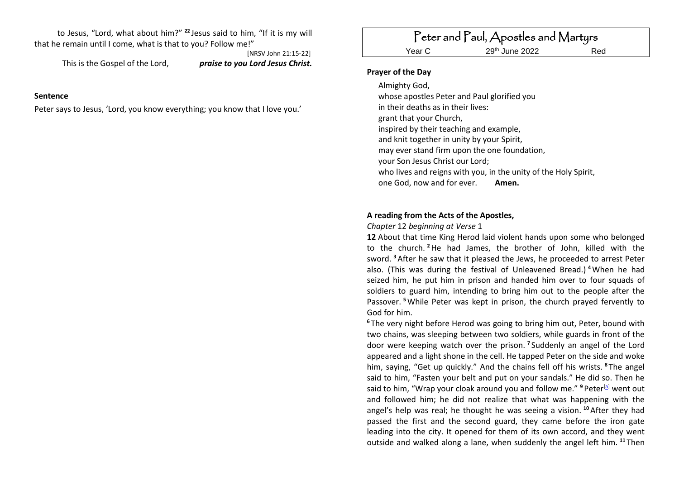to Jesus, "Lord, what about him?" **<sup>22</sup>** Jesus said to him, "If it is my will that he remain until I come, what is that to you? Follow me!"

This is the Gospel of the Lord, *praise to you Lord Jesus Christ.*

[NRSV John 21:15-22]

#### **Sentence**

Peter says to Jesus, 'Lord, you know everything; you know that I love you.'

# Peter and Paul, Apostles and Martyrs

Year C

29<sup>th</sup> June 2022 Red

#### **Prayer of the Day**

Almighty God, whose apostles Peter and Paul glorified you in their deaths as in their lives: grant that your Church, inspired by their teaching and example, and knit together in unity by your Spirit, may ever stand firm upon the one foundation, your Son Jesus Christ our Lord; who lives and reigns with you, in the unity of the Holy Spirit, one God, now and for ever. **Amen.**

#### **A reading from the Acts of the Apostles,**

*Chapter* 12 *beginning at Verse* 1

**12** About that time King Herod laid violent hands upon some who belonged to the church. **<sup>2</sup>**He had James, the brother of John, killed with the sword. **<sup>3</sup>**After he saw that it pleased the Jews, he proceeded to arrest Peter also. (This was during the festival of Unleavened Bread.) **<sup>4</sup>**When he had seized him, he put him in prison and handed him over to four squads of soldiers to guard him, intending to bring him out to the people after the Passover. **<sup>5</sup>**While Peter was kept in prison, the church prayed fervently to God for him.

**<sup>6</sup>** The very night before Herod was going to bring him out, Peter, bound with two chains, was sleeping between two soldiers, while guards in front of the door were keeping watch over the prison. **<sup>7</sup>** Suddenly an angel of the Lord appeared and a light shone in the cell. He tapped Peter on the side and woke him, saying, "Get up quickly." And the chains fell off his wrists. **<sup>8</sup>** The angel said to him, "Fasten your belt and put on your sandals." He did so. Then he said to him, "Wrap your cloak around you and follow me."<sup>9</sup> Peter<sup>[\[a\]](https://www.biblegateway.com/passage/?search=Acts+12.1%E2%80%9311&version=NRSV#fen-NRSV-27335a)</sup> went out and followed him; he did not realize that what was happening with the angel's help was real; he thought he was seeing a vision. **<sup>10</sup>**After they had passed the first and the second guard, they came before the iron gate leading into the city. It opened for them of its own accord, and they went outside and walked along a lane, when suddenly the angel left him. **<sup>11</sup>** Then